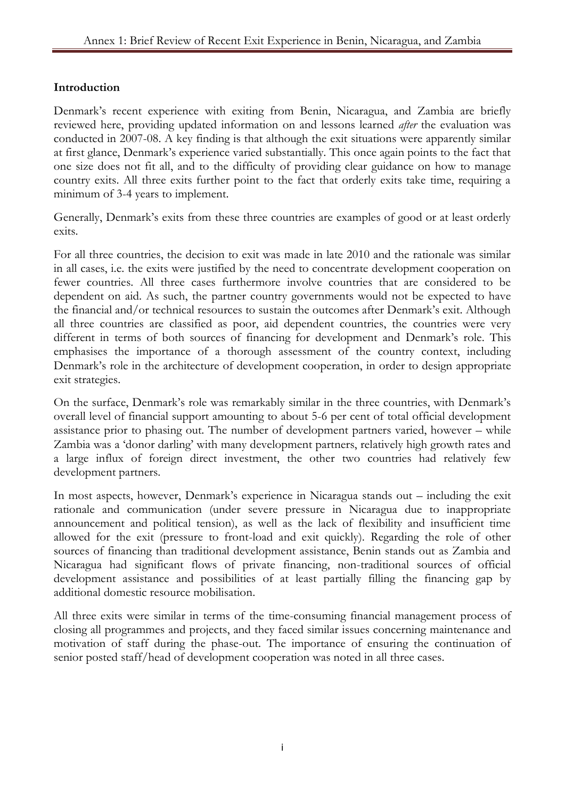## **Introduction**

Denmark's recent experience with exiting from Benin, Nicaragua, and Zambia are briefly reviewed here, providing updated information on and lessons learned *after* the evaluation was conducted in 2007-08. A key finding is that although the exit situations were apparently similar at first glance, Denmark's experience varied substantially. This once again points to the fact that one size does not fit all, and to the difficulty of providing clear guidance on how to manage country exits. All three exits further point to the fact that orderly exits take time, requiring a minimum of 3-4 years to implement.

Generally, Denmark's exits from these three countries are examples of good or at least orderly exits.

For all three countries, the decision to exit was made in late 2010 and the rationale was similar in all cases, i.e. the exits were justified by the need to concentrate development cooperation on fewer countries. All three cases furthermore involve countries that are considered to be dependent on aid. As such, the partner country governments would not be expected to have the financial and/or technical resources to sustain the outcomes after Denmark's exit. Although all three countries are classified as poor, aid dependent countries, the countries were very different in terms of both sources of financing for development and Denmark's role. This emphasises the importance of a thorough assessment of the country context, including Denmark's role in the architecture of development cooperation, in order to design appropriate exit strategies.

On the surface, Denmark's role was remarkably similar in the three countries, with Denmark's overall level of financial support amounting to about 5-6 per cent of total official development assistance prior to phasing out. The number of development partners varied, however – while Zambia was a 'donor darling' with many development partners, relatively high growth rates and a large influx of foreign direct investment, the other two countries had relatively few development partners.

In most aspects, however, Denmark's experience in Nicaragua stands out – including the exit rationale and communication (under severe pressure in Nicaragua due to inappropriate announcement and political tension), as well as the lack of flexibility and insufficient time allowed for the exit (pressure to front-load and exit quickly). Regarding the role of other sources of financing than traditional development assistance, Benin stands out as Zambia and Nicaragua had significant flows of private financing, non-traditional sources of official development assistance and possibilities of at least partially filling the financing gap by additional domestic resource mobilisation.

All three exits were similar in terms of the time-consuming financial management process of closing all programmes and projects, and they faced similar issues concerning maintenance and motivation of staff during the phase-out. The importance of ensuring the continuation of senior posted staff/head of development cooperation was noted in all three cases.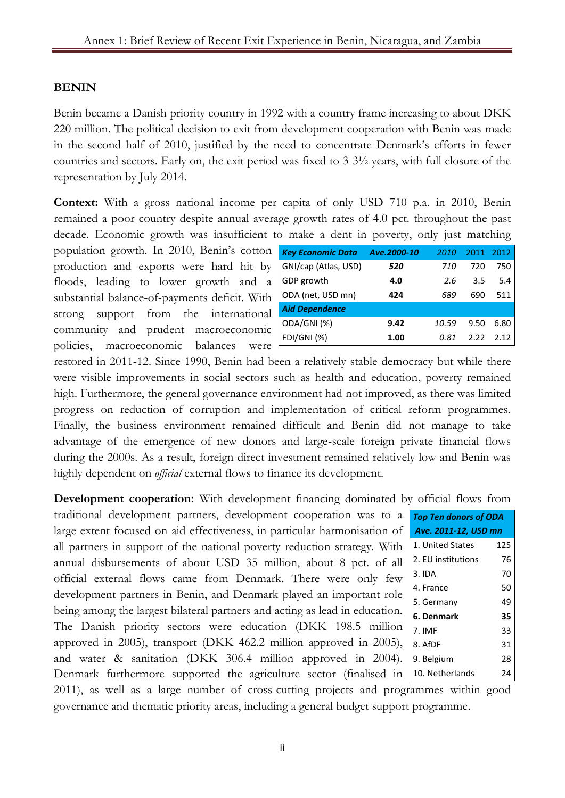## **BENIN**

Benin became a Danish priority country in 1992 with a country frame increasing to about DKK 220 million. The political decision to exit from development cooperation with Benin was made in the second half of 2010, justified by the need to concentrate Denmark's efforts in fewer countries and sectors. Early on, the exit period was fixed to 3-3½ years, with full closure of the representation by July 2014.

**Context:** With a gross national income per capita of only USD 710 p.a. in 2010, Benin remained a poor country despite annual average growth rates of 4.0 pct. throughout the past decade. Economic growth was insufficient to make a dent in poverty, only just matching

population growth. In 2010, Benin's cotton production and exports were hard hit by floods, leading to lower growth and a substantial balance-of-payments deficit. With strong support from the international community and prudent macroeconomic policies, macroeconomic balances were

| <b>Key Economic Data</b> | Ave.2000-10 | 2010  | 2011 | 2012 |
|--------------------------|-------------|-------|------|------|
| GNI/cap (Atlas, USD)     | 520         | 710   | 720  | 750  |
| GDP growth               | 4.0         | 2.6   | 3.5  | 5.4  |
| ODA (net, USD mn)        | 424         | 689   | 690  | 511  |
| <b>Aid Dependence</b>    |             |       |      |      |
| ODA/GNI(%)               | 9.42        | 10.59 | 9.50 | 6.80 |
| FDI/GNI (%)              | 1.00        | 0.81  | 2 22 | 2.12 |

restored in 2011-12. Since 1990, Benin had been a relatively stable democracy but while there were visible improvements in social sectors such as health and education, poverty remained high. Furthermore, the general governance environment had not improved, as there was limited progress on reduction of corruption and implementation of critical reform programmes. Finally, the business environment remained difficult and Benin did not manage to take advantage of the emergence of new donors and large-scale foreign private financial flows during the 2000s. As a result, foreign direct investment remained relatively low and Benin was highly dependent on *official* external flows to finance its development.

**Development cooperation:** With development financing dominated by official flows from

traditional development partners, development cooperation was to a large extent focused on aid effectiveness, in particular harmonisation of all partners in support of the national poverty reduction strategy. With annual disbursements of about USD 35 million, about 8 pct. of all official external flows came from Denmark. There were only few development partners in Benin, and Denmark played an important role being among the largest bilateral partners and acting as lead in education. The Danish priority sectors were education (DKK 198.5 million approved in 2005), transport (DKK 462.2 million approved in 2005), and water & sanitation (DKK 306.4 million approved in 2004). Denmark furthermore supported the agriculture sector (finalised in |

| <b>Top Ten donors of ODA</b> |     |  |
|------------------------------|-----|--|
| Ave. 2011-12, USD mn         |     |  |
| 1. United States             | 125 |  |
| 2. EU institutions           | 76  |  |
| 3.1DA                        | 70  |  |
| 4. France                    | 50  |  |
| 5. Germany                   | 49  |  |
| 6. Denmark                   | 35  |  |
| 7. IMF                       | 33  |  |
| 8. AfDF                      | 31  |  |
| 9. Belgium                   | 28  |  |
| 10. Netherlands              | 24  |  |

2011), as well as a large number of cross-cutting projects and programmes within good governance and thematic priority areas, including a general budget support programme.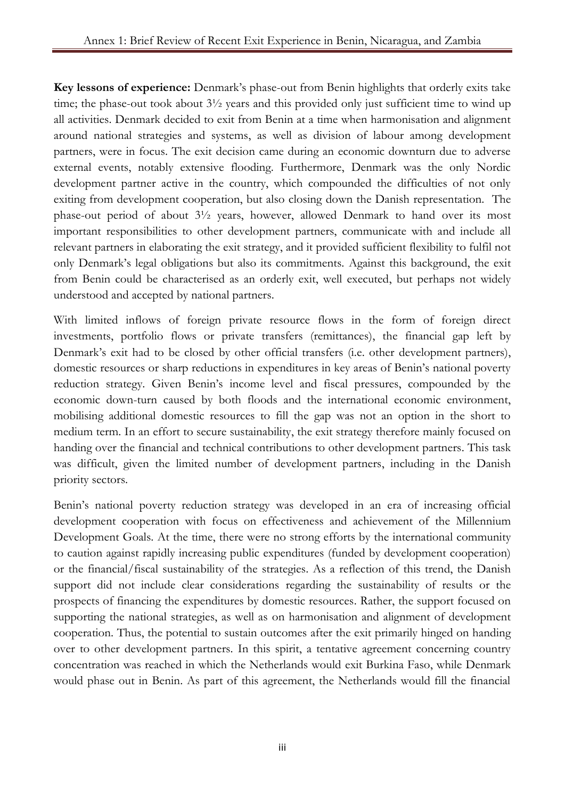**Key lessons of experience:** Denmark's phase-out from Benin highlights that orderly exits take time; the phase-out took about 3½ years and this provided only just sufficient time to wind up all activities. Denmark decided to exit from Benin at a time when harmonisation and alignment around national strategies and systems, as well as division of labour among development partners, were in focus. The exit decision came during an economic downturn due to adverse external events, notably extensive flooding. Furthermore, Denmark was the only Nordic development partner active in the country, which compounded the difficulties of not only exiting from development cooperation, but also closing down the Danish representation. The phase-out period of about 3½ years, however, allowed Denmark to hand over its most important responsibilities to other development partners, communicate with and include all relevant partners in elaborating the exit strategy, and it provided sufficient flexibility to fulfil not only Denmark's legal obligations but also its commitments. Against this background, the exit from Benin could be characterised as an orderly exit, well executed, but perhaps not widely understood and accepted by national partners.

With limited inflows of foreign private resource flows in the form of foreign direct investments, portfolio flows or private transfers (remittances), the financial gap left by Denmark's exit had to be closed by other official transfers (i.e. other development partners), domestic resources or sharp reductions in expenditures in key areas of Benin's national poverty reduction strategy. Given Benin's income level and fiscal pressures, compounded by the economic down-turn caused by both floods and the international economic environment, mobilising additional domestic resources to fill the gap was not an option in the short to medium term. In an effort to secure sustainability, the exit strategy therefore mainly focused on handing over the financial and technical contributions to other development partners. This task was difficult, given the limited number of development partners, including in the Danish priority sectors.

Benin's national poverty reduction strategy was developed in an era of increasing official development cooperation with focus on effectiveness and achievement of the Millennium Development Goals. At the time, there were no strong efforts by the international community to caution against rapidly increasing public expenditures (funded by development cooperation) or the financial/fiscal sustainability of the strategies. As a reflection of this trend, the Danish support did not include clear considerations regarding the sustainability of results or the prospects of financing the expenditures by domestic resources. Rather, the support focused on supporting the national strategies, as well as on harmonisation and alignment of development cooperation. Thus, the potential to sustain outcomes after the exit primarily hinged on handing over to other development partners. In this spirit, a tentative agreement concerning country concentration was reached in which the Netherlands would exit Burkina Faso, while Denmark would phase out in Benin. As part of this agreement, the Netherlands would fill the financial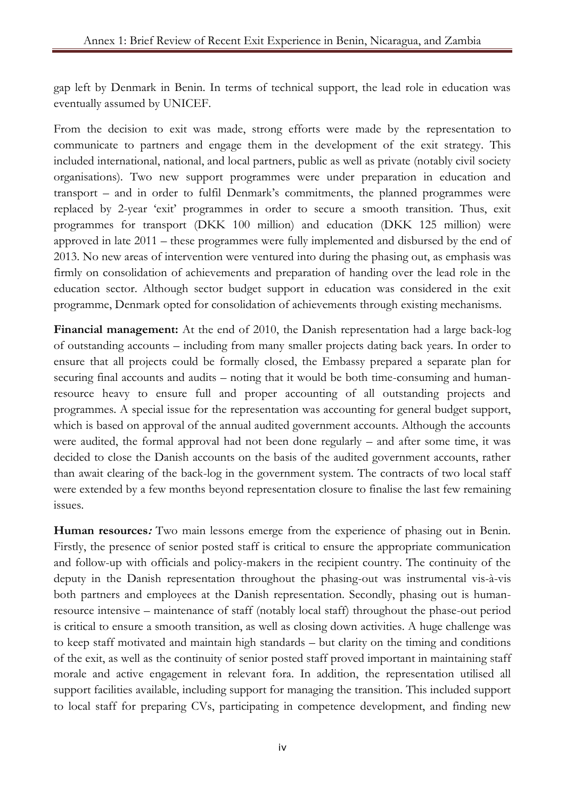gap left by Denmark in Benin. In terms of technical support, the lead role in education was eventually assumed by UNICEF.

From the decision to exit was made, strong efforts were made by the representation to communicate to partners and engage them in the development of the exit strategy. This included international, national, and local partners, public as well as private (notably civil society organisations). Two new support programmes were under preparation in education and transport – and in order to fulfil Denmark's commitments, the planned programmes were replaced by 2-year 'exit' programmes in order to secure a smooth transition. Thus, exit programmes for transport (DKK 100 million) and education (DKK 125 million) were approved in late 2011 – these programmes were fully implemented and disbursed by the end of 2013. No new areas of intervention were ventured into during the phasing out, as emphasis was firmly on consolidation of achievements and preparation of handing over the lead role in the education sector. Although sector budget support in education was considered in the exit programme, Denmark opted for consolidation of achievements through existing mechanisms.

**Financial management:** At the end of 2010, the Danish representation had a large back-log of outstanding accounts – including from many smaller projects dating back years. In order to ensure that all projects could be formally closed, the Embassy prepared a separate plan for securing final accounts and audits – noting that it would be both time-consuming and humanresource heavy to ensure full and proper accounting of all outstanding projects and programmes. A special issue for the representation was accounting for general budget support, which is based on approval of the annual audited government accounts. Although the accounts were audited, the formal approval had not been done regularly – and after some time, it was decided to close the Danish accounts on the basis of the audited government accounts, rather than await clearing of the back-log in the government system. The contracts of two local staff were extended by a few months beyond representation closure to finalise the last few remaining issues.

**Human resources:** Two main lessons emerge from the experience of phasing out in Benin. Firstly, the presence of senior posted staff is critical to ensure the appropriate communication and follow-up with officials and policy-makers in the recipient country. The continuity of the deputy in the Danish representation throughout the phasing-out was instrumental vis-à-vis both partners and employees at the Danish representation. Secondly, phasing out is humanresource intensive – maintenance of staff (notably local staff) throughout the phase-out period is critical to ensure a smooth transition, as well as closing down activities. A huge challenge was to keep staff motivated and maintain high standards – but clarity on the timing and conditions of the exit, as well as the continuity of senior posted staff proved important in maintaining staff morale and active engagement in relevant fora. In addition, the representation utilised all support facilities available, including support for managing the transition. This included support to local staff for preparing CVs, participating in competence development, and finding new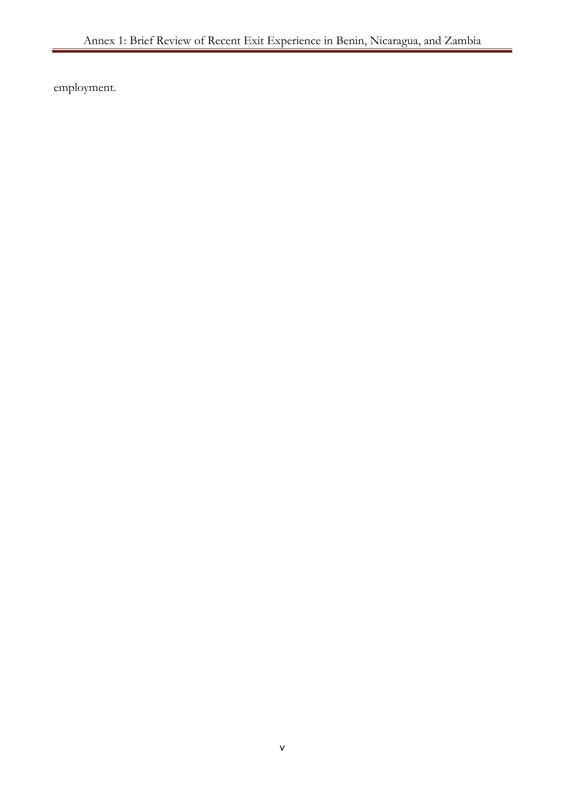employment.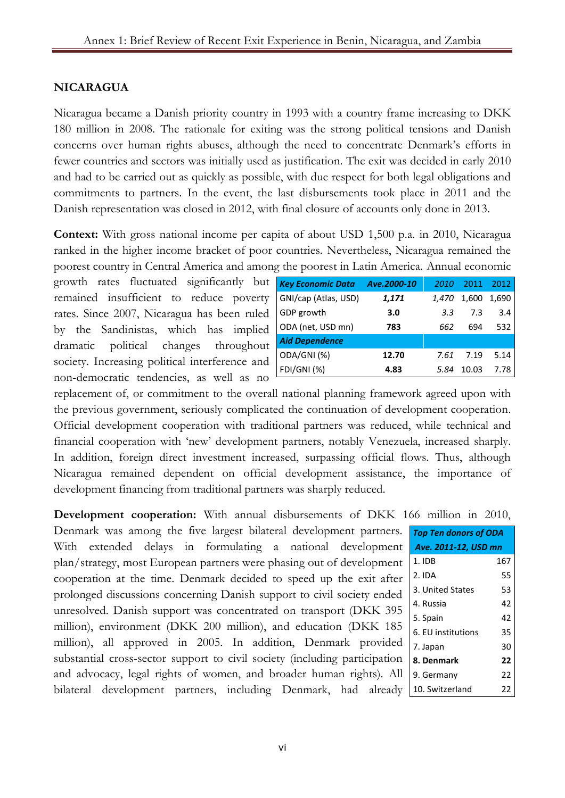## **NICARAGUA**

Nicaragua became a Danish priority country in 1993 with a country frame increasing to DKK 180 million in 2008. The rationale for exiting was the strong political tensions and Danish concerns over human rights abuses, although the need to concentrate Denmark's efforts in fewer countries and sectors was initially used as justification. The exit was decided in early 2010 and had to be carried out as quickly as possible, with due respect for both legal obligations and commitments to partners. In the event, the last disbursements took place in 2011 and the Danish representation was closed in 2012, with final closure of accounts only done in 2013.

**Context:** With gross national income per capita of about USD 1,500 p.a. in 2010, Nicaragua ranked in the higher income bracket of poor countries. Nevertheless, Nicaragua remained the poorest country in Central America and among the poorest in Latin America. Annual economic

growth rates fluctuated significantly but remained insufficient to reduce poverty rates. Since 2007, Nicaragua has been ruled by the Sandinistas, which has implied dramatic political changes throughout society. Increasing political interference and non-democratic tendencies, as well as no

| <b>Key Economic Data</b> | Ave.2000-10 | 2010         | 2011  | 2012  |
|--------------------------|-------------|--------------|-------|-------|
| GNI/cap (Atlas, USD)     | 1,171       | <i>1.470</i> | 1,600 | 1,690 |
| GDP growth               | 3.0         | 3.3          | 7.3   | 3.4   |
| ODA (net, USD mn)        | 783         | 662          | 694   | 532   |
| <b>Aid Dependence</b>    |             |              |       |       |
| ODA/GNI(%)               | 12.70       | 7.61         | 7.19  | 5.14  |
| FDI/GNI (%)              | 4.83        | 5.84         | 10.03 | 7.78  |

replacement of, or commitment to the overall national planning framework agreed upon with the previous government, seriously complicated the continuation of development cooperation. Official development cooperation with traditional partners was reduced, while technical and financial cooperation with 'new' development partners, notably Venezuela, increased sharply. In addition, foreign direct investment increased, surpassing official flows. Thus, although Nicaragua remained dependent on official development assistance, the importance of development financing from traditional partners was sharply reduced.

**Development cooperation:** With annual disbursements of DKK 166 million in 2010,

Denmark was among the five largest bilateral development partners. With extended delays in formulating a national development plan/strategy, most European partners were phasing out of development cooperation at the time. Denmark decided to speed up the exit after prolonged discussions concerning Danish support to civil society ended unresolved. Danish support was concentrated on transport (DKK 395 million), environment (DKK 200 million), and education (DKK 185 million), all approved in 2005. In addition, Denmark provided substantial cross-sector support to civil society (including participation and advocacy, legal rights of women, and broader human rights). All bilateral development partners, including Denmark, had already

| <b>Top Ten donors of ODA</b> |     |  |
|------------------------------|-----|--|
| Ave. 2011-12, USD mn         |     |  |
| 1. IDB                       | 167 |  |
| 2. IDA                       | 55  |  |
| 3. United States             | 53  |  |
| 4. Russia                    | 42  |  |
| 5. Spain                     | 42  |  |
| 6. EU institutions           | 35  |  |
| 7. Japan                     | 30  |  |
| 8. Denmark                   | 22  |  |
| 9. Germany                   | 22  |  |
| 10. Switzerland              | 22  |  |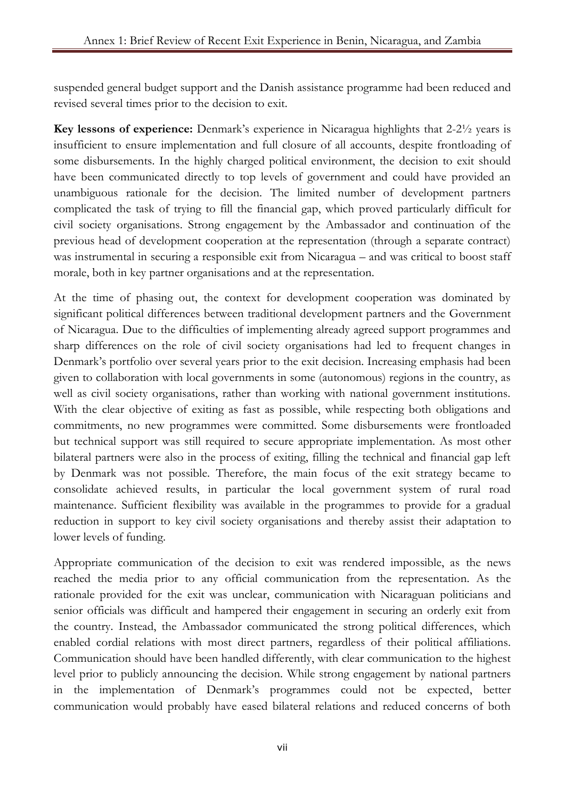suspended general budget support and the Danish assistance programme had been reduced and revised several times prior to the decision to exit.

**Key lessons of experience:** Denmark's experience in Nicaragua highlights that 2-2½ years is insufficient to ensure implementation and full closure of all accounts, despite frontloading of some disbursements. In the highly charged political environment, the decision to exit should have been communicated directly to top levels of government and could have provided an unambiguous rationale for the decision. The limited number of development partners complicated the task of trying to fill the financial gap, which proved particularly difficult for civil society organisations. Strong engagement by the Ambassador and continuation of the previous head of development cooperation at the representation (through a separate contract) was instrumental in securing a responsible exit from Nicaragua – and was critical to boost staff morale, both in key partner organisations and at the representation.

At the time of phasing out, the context for development cooperation was dominated by significant political differences between traditional development partners and the Government of Nicaragua. Due to the difficulties of implementing already agreed support programmes and sharp differences on the role of civil society organisations had led to frequent changes in Denmark's portfolio over several years prior to the exit decision. Increasing emphasis had been given to collaboration with local governments in some (autonomous) regions in the country, as well as civil society organisations, rather than working with national government institutions. With the clear objective of exiting as fast as possible, while respecting both obligations and commitments, no new programmes were committed. Some disbursements were frontloaded but technical support was still required to secure appropriate implementation. As most other bilateral partners were also in the process of exiting, filling the technical and financial gap left by Denmark was not possible. Therefore, the main focus of the exit strategy became to consolidate achieved results, in particular the local government system of rural road maintenance. Sufficient flexibility was available in the programmes to provide for a gradual reduction in support to key civil society organisations and thereby assist their adaptation to lower levels of funding.

Appropriate communication of the decision to exit was rendered impossible, as the news reached the media prior to any official communication from the representation. As the rationale provided for the exit was unclear, communication with Nicaraguan politicians and senior officials was difficult and hampered their engagement in securing an orderly exit from the country. Instead, the Ambassador communicated the strong political differences, which enabled cordial relations with most direct partners, regardless of their political affiliations. Communication should have been handled differently, with clear communication to the highest level prior to publicly announcing the decision. While strong engagement by national partners in the implementation of Denmark's programmes could not be expected, better communication would probably have eased bilateral relations and reduced concerns of both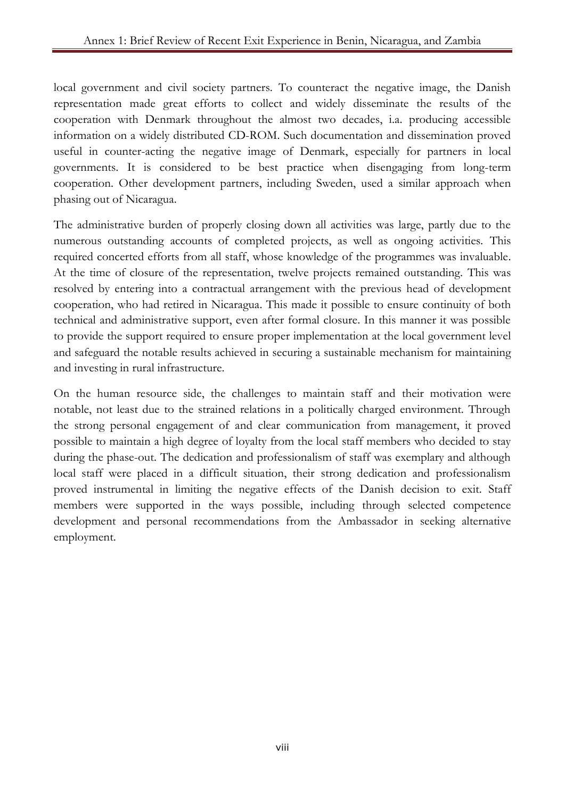local government and civil society partners. To counteract the negative image, the Danish representation made great efforts to collect and widely disseminate the results of the cooperation with Denmark throughout the almost two decades, i.a. producing accessible information on a widely distributed CD-ROM. Such documentation and dissemination proved useful in counter-acting the negative image of Denmark, especially for partners in local governments. It is considered to be best practice when disengaging from long-term cooperation. Other development partners, including Sweden, used a similar approach when phasing out of Nicaragua.

The administrative burden of properly closing down all activities was large, partly due to the numerous outstanding accounts of completed projects, as well as ongoing activities. This required concerted efforts from all staff, whose knowledge of the programmes was invaluable. At the time of closure of the representation, twelve projects remained outstanding. This was resolved by entering into a contractual arrangement with the previous head of development cooperation, who had retired in Nicaragua. This made it possible to ensure continuity of both technical and administrative support, even after formal closure. In this manner it was possible to provide the support required to ensure proper implementation at the local government level and safeguard the notable results achieved in securing a sustainable mechanism for maintaining and investing in rural infrastructure.

On the human resource side, the challenges to maintain staff and their motivation were notable, not least due to the strained relations in a politically charged environment. Through the strong personal engagement of and clear communication from management, it proved possible to maintain a high degree of loyalty from the local staff members who decided to stay during the phase-out. The dedication and professionalism of staff was exemplary and although local staff were placed in a difficult situation, their strong dedication and professionalism proved instrumental in limiting the negative effects of the Danish decision to exit. Staff members were supported in the ways possible, including through selected competence development and personal recommendations from the Ambassador in seeking alternative employment.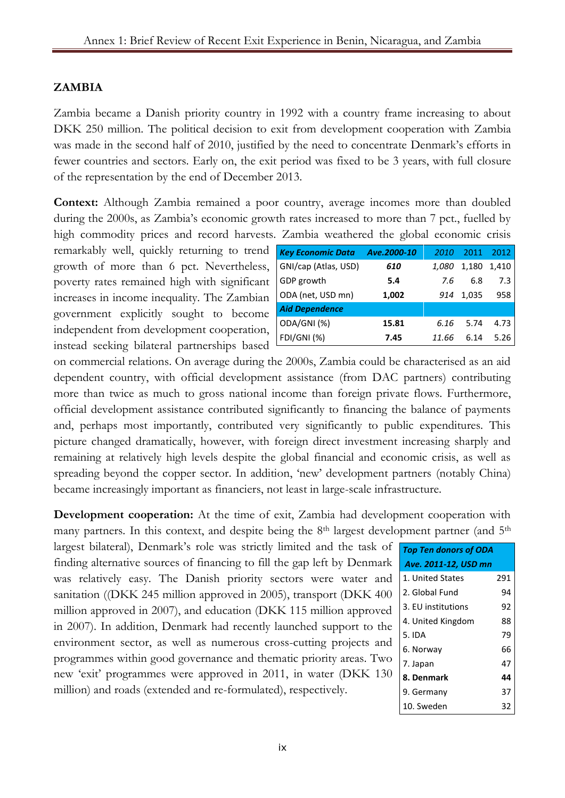## **ZAMBIA**

Zambia became a Danish priority country in 1992 with a country frame increasing to about DKK 250 million. The political decision to exit from development cooperation with Zambia was made in the second half of 2010, justified by the need to concentrate Denmark's efforts in fewer countries and sectors. Early on, the exit period was fixed to be 3 years, with full closure of the representation by the end of December 2013.

**Context:** Although Zambia remained a poor country, average incomes more than doubled during the 2000s, as Zambia's economic growth rates increased to more than 7 pct., fuelled by high commodity prices and record harvests. Zambia weathered the global economic crisis

remarkably well, quickly returning to trend growth of more than 6 pct. Nevertheless, poverty rates remained high with significant increases in income inequality. The Zambian government explicitly sought to become independent from development cooperation, instead seeking bilateral partnerships based

| <b>Key Economic Data</b> | Ave.2000-10 | 2010  | 2011  | 2012  |
|--------------------------|-------------|-------|-------|-------|
| GNI/cap (Atlas, USD)     | 610         | 1,080 | 1,180 | 1,410 |
| GDP growth               | 5.4         | 7.6   | 6.8   | 7.3   |
| ODA (net, USD mn)        | 1,002       | 914   | 1,035 | 958   |
| <b>Aid Dependence</b>    |             |       |       |       |
| ODA/GNI(%)               | 15.81       | 6.16  | 5.74  | 4.73  |
| <b>FDI/GNI (%)</b>       | 7.45        | 11.66 | 6.14  | 5.26  |

on commercial relations. On average during the 2000s, Zambia could be characterised as an aid dependent country, with official development assistance (from DAC partners) contributing more than twice as much to gross national income than foreign private flows. Furthermore, official development assistance contributed significantly to financing the balance of payments and, perhaps most importantly, contributed very significantly to public expenditures. This picture changed dramatically, however, with foreign direct investment increasing sharply and remaining at relatively high levels despite the global financial and economic crisis, as well as spreading beyond the copper sector. In addition, 'new' development partners (notably China) became increasingly important as financiers, not least in large-scale infrastructure.

**Development cooperation:** At the time of exit, Zambia had development cooperation with many partners. In this context, and despite being the 8<sup>th</sup> largest development partner (and 5<sup>th</sup>

largest bilateral), Denmark's role was strictly limited and the task of finding alternative sources of financing to fill the gap left by Denmark was relatively easy. The Danish priority sectors were water and sanitation ((DKK 245 million approved in 2005), transport (DKK 400 million approved in 2007), and education (DKK 115 million approved in 2007). In addition, Denmark had recently launched support to the environment sector, as well as numerous cross-cutting projects and programmes within good governance and thematic priority areas. Two new 'exit' programmes were approved in 2011, in water (DKK 130 million) and roads (extended and re-formulated), respectively.

| <b>Top Ten donors of ODA</b> |     |  |
|------------------------------|-----|--|
| Ave. 2011-12, USD mn         |     |  |
| 1. United States             | 291 |  |
| 2. Global Fund               | 94  |  |
| 3. EU institutions           | 92  |  |
| 4. United Kingdom            | 88  |  |
| 5. IDA                       | 79  |  |
| 6. Norway                    | 66  |  |
| 7. Japan                     | 47  |  |
| 8. Denmark                   | 44  |  |
| 9. Germany                   | 37  |  |
| 10. Sweden                   | 32  |  |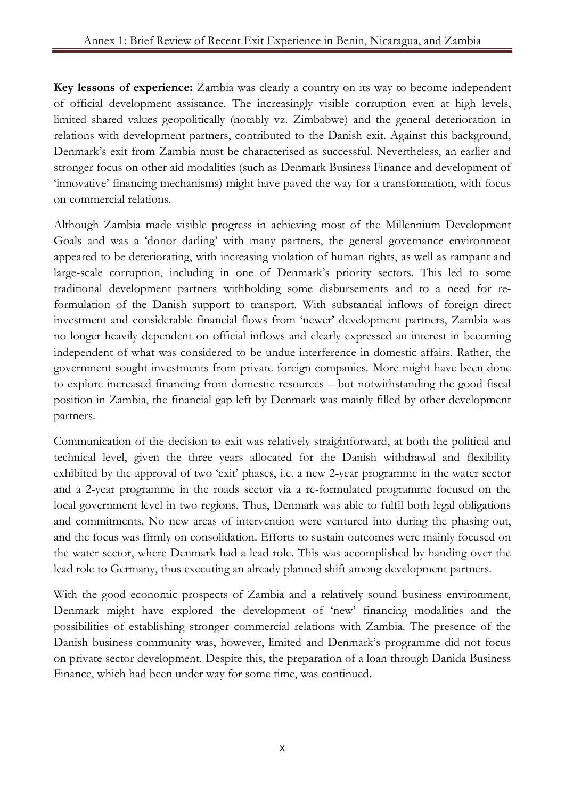**Key lessons of experience:** Zambia was clearly a country on its way to become independent of official development assistance. The increasingly visible corruption even at high levels, limited shared values geopolitically (notably vz. Zimbabwe) and the general deterioration in relations with development partners, contributed to the Danish exit. Against this background, Denmark's exit from Zambia must be characterised as successful. Nevertheless, an earlier and stronger focus on other aid modalities (such as Denmark Business Finance and development of 'innovative' financing mechanisms) might have paved the way for a transformation, with focus on commercial relations.

Although Zambia made visible progress in achieving most of the Millennium Development Goals and was a 'donor darling' with many partners, the general governance environment appeared to be deteriorating, with increasing violation of human rights, as well as rampant and large-scale corruption, including in one of Denmark's priority sectors. This led to some traditional development partners withholding some disbursements and to a need for reformulation of the Danish support to transport. With substantial inflows of foreign direct investment and considerable financial flows from 'newer' development partners, Zambia was no longer heavily dependent on official inflows and clearly expressed an interest in becoming independent of what was considered to be undue interference in domestic affairs. Rather, the government sought investments from private foreign companies. More might have been done to explore increased financing from domestic resources – but notwithstanding the good fiscal position in Zambia, the financial gap left by Denmark was mainly filled by other development partners.

Communication of the decision to exit was relatively straightforward, at both the political and technical level, given the three years allocated for the Danish withdrawal and flexibility exhibited by the approval of two 'exit' phases, i.e. a new 2-year programme in the water sector and a 2-year programme in the roads sector via a re-formulated programme focused on the local government level in two regions. Thus, Denmark was able to fulfil both legal obligations and commitments. No new areas of intervention were ventured into during the phasing-out, and the focus was firmly on consolidation. Efforts to sustain outcomes were mainly focused on the water sector, where Denmark had a lead role. This was accomplished by handing over the lead role to Germany, thus executing an already planned shift among development partners.

With the good economic prospects of Zambia and a relatively sound business environment, Denmark might have explored the development of 'new' financing modalities and the possibilities of establishing stronger commercial relations with Zambia. The presence of the Danish business community was, however, limited and Denmark's programme did not focus on private sector development. Despite this, the preparation of a loan through Danida Business Finance, which had been under way for some time, was continued.